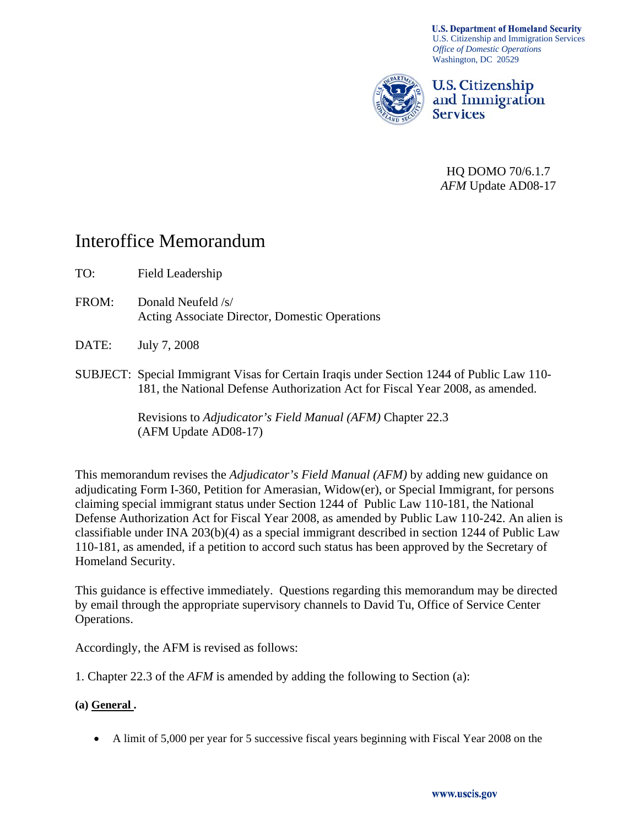**U.S. Department of Homeland Security** U.S. Citizenship and Immigration Services *Office of Domestic Operations*  Washington, DC 20529



U.S. Citizenship and Immigration **Services** 

HQ DOMO 70/6.1.7 *AFM* Update AD08-17

# Interoffice Memorandum

- TO: Field Leadership
- FROM: Donald Neufeld /s/ Acting Associate Director, Domestic Operations
- DATE: July 7, 2008
- SUBJECT: Special Immigrant Visas for Certain Iraqis under Section 1244 of Public Law 110- 181, the National Defense Authorization Act for Fiscal Year 2008, as amended.

Revisions to *Adjudicator's Field Manual (AFM)* Chapter 22.3 (AFM Update AD08-17)

This memorandum revises the *Adjudicator's Field Manual (AFM)* by adding new guidance on adjudicating Form I-360, Petition for Amerasian, Widow(er), or Special Immigrant, for persons claiming special immigrant status under Section 1244 of Public Law 110-181, the National Defense Authorization Act for Fiscal Year 2008, as amended by Public Law 110-242. An alien is classifiable under INA 203(b)(4) as a special immigrant described in section 1244 of Public Law 110-181, as amended, if a petition to accord such status has been approved by the Secretary of Homeland Security.

This guidance is effective immediately. Questions regarding this memorandum may be directed by email through the appropriate supervisory channels to David Tu, Office of Service Center Operations.

Accordingly, the AFM is revised as follows:

1. Chapter 22.3 of the *AFM* is amended by adding the following to Section (a):

# **(a) General .**

• A limit of 5,000 per year for 5 successive fiscal years beginning with Fiscal Year 2008 on the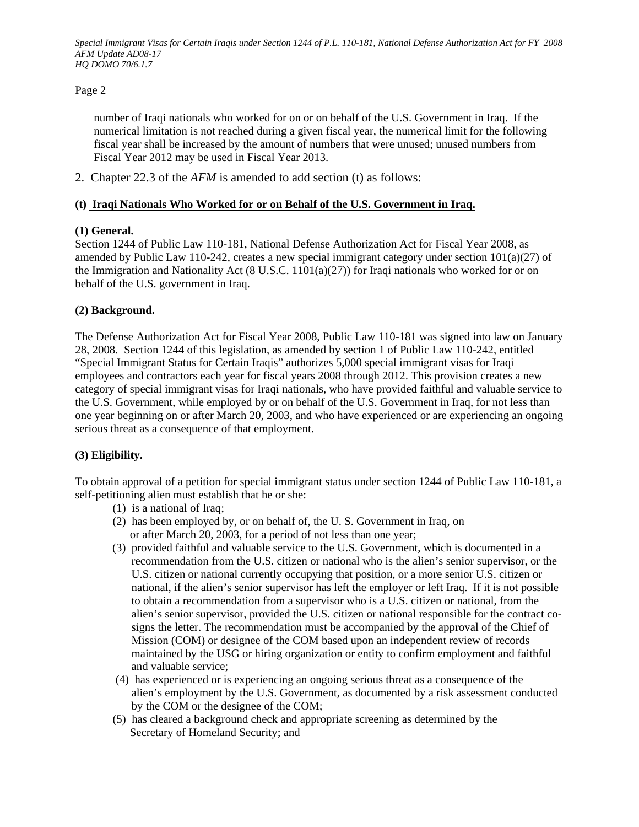## Page 2

number of Iraqi nationals who worked for on or on behalf of the U.S. Government in Iraq. If the numerical limitation is not reached during a given fiscal year, the numerical limit for the following fiscal year shall be increased by the amount of numbers that were unused; unused numbers from Fiscal Year 2012 may be used in Fiscal Year 2013.

2. Chapter 22.3 of the *AFM* is amended to add section (t) as follows:

## **(t) Iraqi Nationals Who Worked for or on Behalf of the U.S. Government in Iraq.**

## **(1) General.**

Section 1244 of Public Law 110-181, National Defense Authorization Act for Fiscal Year 2008, as amended by Public Law 110-242, creates a new special immigrant category under section  $101(a)(27)$  of the Immigration and Nationality Act (8 U.S.C. 1101(a)(27)) for Iraqi nationals who worked for or on behalf of the U.S. government in Iraq.

## **(2) Background.**

The Defense Authorization Act for Fiscal Year 2008, Public Law 110-181 was signed into law on January 28, 2008. Section 1244 of this legislation, as amended by section 1 of Public Law 110-242, entitled "Special Immigrant Status for Certain Iraqis" authorizes 5,000 special immigrant visas for Iraqi employees and contractors each year for fiscal years 2008 through 2012. This provision creates a new category of special immigrant visas for Iraqi nationals, who have provided faithful and valuable service to the U.S. Government, while employed by or on behalf of the U.S. Government in Iraq, for not less than one year beginning on or after March 20, 2003, and who have experienced or are experiencing an ongoing serious threat as a consequence of that employment.

#### **(3) Eligibility.**

To obtain approval of a petition for special immigrant status under section 1244 of Public Law 110-181, a self-petitioning alien must establish that he or she:

- (1) is a national of Iraq;
- (2) has been employed by, or on behalf of, the U. S. Government in Iraq, on or after March 20, 2003, for a period of not less than one year;
- (3) provided faithful and valuable service to the U.S. Government, which is documented in a recommendation from the U.S. citizen or national who is the alien's senior supervisor, or the U.S. citizen or national currently occupying that position, or a more senior U.S. citizen or national, if the alien's senior supervisor has left the employer or left Iraq. If it is not possible to obtain a recommendation from a supervisor who is a U.S. citizen or national, from the alien's senior supervisor, provided the U.S. citizen or national responsible for the contract cosigns the letter. The recommendation must be accompanied by the approval of the Chief of Mission (COM) or designee of the COM based upon an independent review of records maintained by the USG or hiring organization or entity to confirm employment and faithful and valuable service;
- (4) has experienced or is experiencing an ongoing serious threat as a consequence of the alien's employment by the U.S. Government, as documented by a risk assessment conducted by the COM or the designee of the COM;
- (5) has cleared a background check and appropriate screening as determined by the Secretary of Homeland Security; and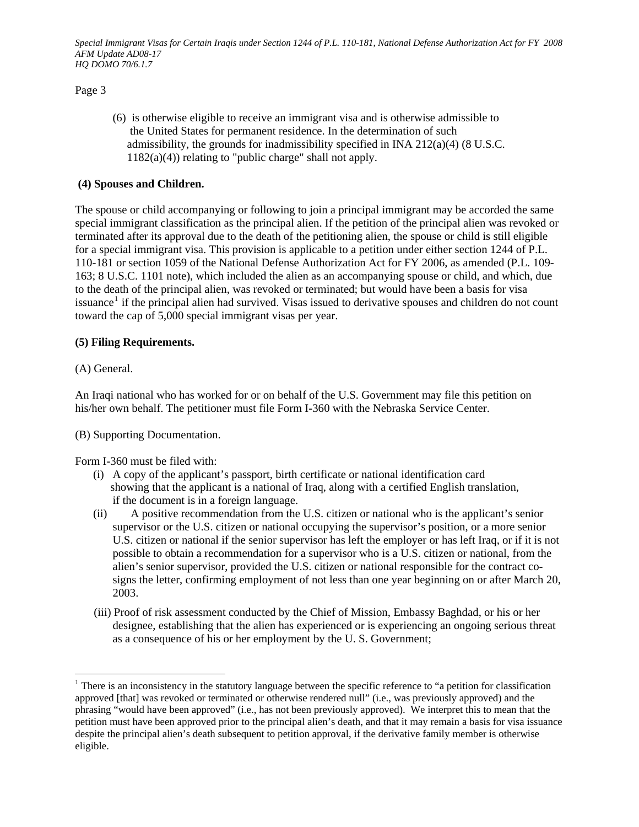Page 3

 (6) is otherwise eligible to receive an immigrant visa and is otherwise admissible to the United States for permanent residence. In the determination of such admissibility, the grounds for inadmissibility specified in INA 212(a)(4) (8 U.S.C.  $1182(a)(4)$ ) relating to "public charge" shall not apply.

## **(4) Spouses and Children.**

The spouse or child accompanying or following to join a principal immigrant may be accorded the same special immigrant classification as the principal alien. If the petition of the principal alien was revoked or terminated after its approval due to the death of the petitioning alien, the spouse or child is still eligible for a special immigrant visa. This provision is applicable to a petition under either section 1244 of P.L. 110-181 or section 1059 of the National Defense Authorization Act for FY 2006, as amended (P.L. 109- 163; 8 U.S.C. 1101 note), which included the alien as an accompanying spouse or child, and which, due to the death of the principal alien, was revoked or terminated; but would have been a basis for visa issuance<sup>[1](#page-2-0)</sup> if the principal alien had survived. Visas issued to derivative spouses and children do not count toward the cap of 5,000 special immigrant visas per year.

# **(5) Filing Requirements.**

(A) General.

 $\overline{a}$ 

An Iraqi national who has worked for or on behalf of the U.S. Government may file this petition on his/her own behalf. The petitioner must file Form I-360 with the Nebraska Service Center.

(B) Supporting Documentation.

Form I-360 must be filed with:

- (i) A copy of the applicant's passport, birth certificate or national identification card showing that the applicant is a national of Iraq, along with a certified English translation, if the document is in a foreign language.
- (ii) A positive recommendation from the U.S. citizen or national who is the applicant's senior supervisor or the U.S. citizen or national occupying the supervisor's position, or a more senior U.S. citizen or national if the senior supervisor has left the employer or has left Iraq, or if it is not possible to obtain a recommendation for a supervisor who is a U.S. citizen or national, from the alien's senior supervisor, provided the U.S. citizen or national responsible for the contract cosigns the letter, confirming employment of not less than one year beginning on or after March 20, 2003.
- (iii) Proof of risk assessment conducted by the Chief of Mission, Embassy Baghdad, or his or her designee, establishing that the alien has experienced or is experiencing an ongoing serious threat as a consequence of his or her employment by the U. S. Government;

<span id="page-2-0"></span> $1$  There is an inconsistency in the statutory language between the specific reference to "a petition for classification approved [that] was revoked or terminated or otherwise rendered null" (i.e., was previously approved) and the phrasing "would have been approved" (i.e., has not been previously approved). We interpret this to mean that the petition must have been approved prior to the principal alien's death, and that it may remain a basis for visa issuance despite the principal alien's death subsequent to petition approval, if the derivative family member is otherwise eligible.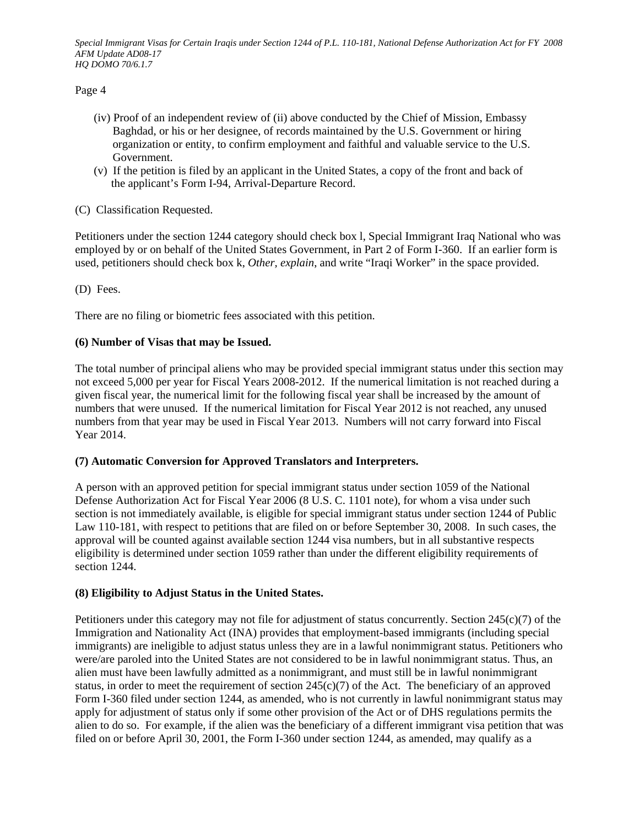Page 4

- (iv) Proof of an independent review of (ii) above conducted by the Chief of Mission, Embassy Baghdad, or his or her designee, of records maintained by the U.S. Government or hiring organization or entity, to confirm employment and faithful and valuable service to the U.S. Government.
- (v) If the petition is filed by an applicant in the United States, a copy of the front and back of the applicant's Form I-94, Arrival-Departure Record.

# (C) Classification Requested.

Petitioners under the section 1244 category should check box l, Special Immigrant Iraq National who was employed by or on behalf of the United States Government, in Part 2 of Form I-360. If an earlier form is used, petitioners should check box k, *Other, explain*, and write "Iraqi Worker" in the space provided.

(D) Fees.

There are no filing or biometric fees associated with this petition.

## **(6) Number of Visas that may be Issued.**

The total number of principal aliens who may be provided special immigrant status under this section may not exceed 5,000 per year for Fiscal Years 2008-2012. If the numerical limitation is not reached during a given fiscal year, the numerical limit for the following fiscal year shall be increased by the amount of numbers that were unused. If the numerical limitation for Fiscal Year 2012 is not reached, any unused numbers from that year may be used in Fiscal Year 2013. Numbers will not carry forward into Fiscal Year 2014.

#### **(7) Automatic Conversion for Approved Translators and Interpreters.**

A person with an approved petition for special immigrant status under section 1059 of the National Defense Authorization Act for Fiscal Year 2006 (8 U.S. C. 1101 note), for whom a visa under such section is not immediately available, is eligible for special immigrant status under section 1244 of Public Law 110-181, with respect to petitions that are filed on or before September 30, 2008. In such cases, the approval will be counted against available section 1244 visa numbers, but in all substantive respects eligibility is determined under section 1059 rather than under the different eligibility requirements of section 1244.

#### **(8) Eligibility to Adjust Status in the United States.**

Petitioners under this category may not file for adjustment of status concurrently. Section 245(c)(7) of the Immigration and Nationality Act (INA) provides that employment-based immigrants (including special immigrants) are ineligible to adjust status unless they are in a lawful nonimmigrant status. Petitioners who were/are paroled into the United States are not considered to be in lawful nonimmigrant status. Thus, an alien must have been lawfully admitted as a nonimmigrant, and must still be in lawful nonimmigrant status, in order to meet the requirement of section  $245(c)(7)$  of the Act. The beneficiary of an approved Form I-360 filed under section 1244, as amended, who is not currently in lawful nonimmigrant status may apply for adjustment of status only if some other provision of the Act or of DHS regulations permits the alien to do so. For example, if the alien was the beneficiary of a different immigrant visa petition that was filed on or before April 30, 2001, the Form I-360 under section 1244, as amended, may qualify as a